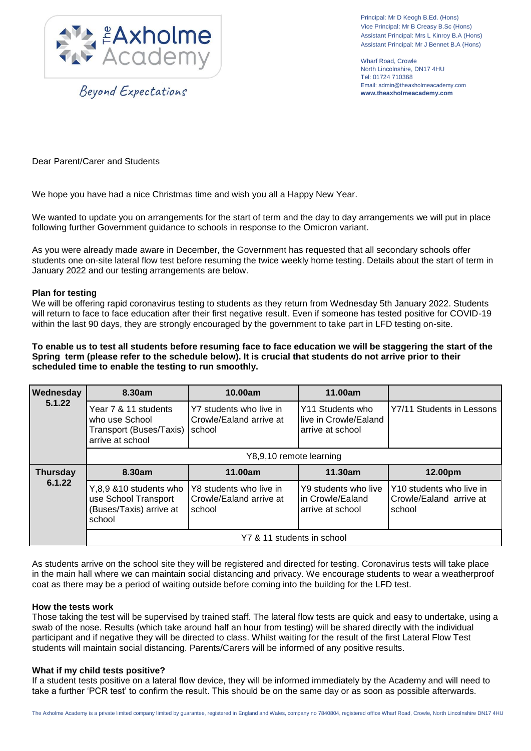

Beyond Expectations

Principal: Mr D Keogh B.Ed. (Hons) Vice Principal: Mr B Creasy B.Sc (Hons) Assistant Principal: Mrs L Kinroy B.A (Hons) Assistant Principal: Mr J Bennet B.A (Hons)

Wharf Road, Crowle North Lincolnshire, DN17 4HU Tel: 01724 710368 Email: admin@theaxholmeacademy.com **www.theaxholmeacademy.com**

Dear Parent/Carer and Students

We hope you have had a nice Christmas time and wish you all a Happy New Year.

We wanted to update you on arrangements for the start of term and the day to day arrangements we will put in place following further Government guidance to schools in response to the Omicron variant.

As you were already made aware in December, the Government has requested that all secondary schools offer students one on-site lateral flow test before resuming the twice weekly home testing. Details about the start of term in January 2022 and our testing arrangements are below.

## **Plan for testing**

We will be offering rapid coronavirus testing to students as they return from Wednesday 5th January 2022. Students will return to face to face education after their first negative result. Even if someone has tested positive for COVID-19 within the last 90 days, they are strongly encouraged by the government to take part in LFD testing on-site.

**To enable us to test all students before resuming face to face education we will be staggering the start of the Spring term (please refer to the schedule below). It is crucial that students do not arrive prior to their scheduled time to enable the testing to run smoothly.**

| Wednesday<br>5.1.22       | 8.30am                                                                                | 10.00am                                                      | 11.00am                                                        |                                                               |
|---------------------------|---------------------------------------------------------------------------------------|--------------------------------------------------------------|----------------------------------------------------------------|---------------------------------------------------------------|
|                           | Year 7 & 11 students<br>who use School<br>Transport (Buses/Taxis)<br>arrive at school | Y7 students who live in<br>Crowle/Ealand arrive at<br>school | Y11 Students who<br>Ilive in Crowle/Ealand<br>arrive at school | Y7/11 Students in Lessons                                     |
|                           | Y8,9,10 remote learning                                                               |                                                              |                                                                |                                                               |
| <b>Thursday</b><br>6.1.22 | 8.30am                                                                                | 11.00am                                                      | 11.30am                                                        | 12.00pm                                                       |
|                           | Y,8,9 &10 students who<br>use School Transport<br>(Buses/Taxis) arrive at<br>school   | Y8 students who live in<br>Crowle/Ealand arrive at<br>school | Y9 students who live<br>In Crowle/Ealand<br>arrive at school   | Y10 students who live in<br>Crowle/Ealand arrive at<br>school |
|                           | Y7 & 11 students in school                                                            |                                                              |                                                                |                                                               |

As students arrive on the school site they will be registered and directed for testing. Coronavirus tests will take place in the main hall where we can maintain social distancing and privacy. We encourage students to wear a weatherproof coat as there may be a period of waiting outside before coming into the building for the LFD test.

## **How the tests work**

Those taking the test will be supervised by trained staff. The lateral flow tests are quick and easy to undertake, using a swab of the nose. Results (which take around half an hour from testing) will be shared directly with the individual participant and if negative they will be directed to class. Whilst waiting for the result of the first Lateral Flow Test students will maintain social distancing. Parents/Carers will be informed of any positive results.

## **What if my child tests positive?**

If a student tests positive on a lateral flow device, they will be informed immediately by the Academy and will need to take a further 'PCR test' to confirm the result. This should be on the same day or as soon as possible afterwards.